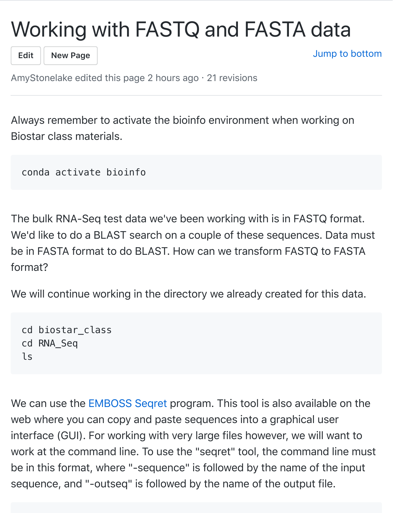## [Wo](https://github.com/AmyStonelake/BTEP/wiki/Working-with-FASTQ-and-FASTA-data/_edit)[rking w](https://github.com/AmyStonelake/BTEP/wiki/_new)ith FASTQ and FASTA [data](#page-6-0)

**Edit New Page**

Jump to bottom

AmyStonelake edited this page 2 hours ago · 21 revisions

Always remember to activate the bioinfo environment when working on Biostar class materials.

conda activate bioinfo

The bulk RNA-Seq test data we've been working with is in FASTQ format. We'd like to do a BLAST search on a couple of these sequences. Data must be in FASTA format to do BLAST. How can we transform FASTQ to FASTA format?

We will continue working in the directory we already created for this data.

```
cd biostar_class
cd RNA_Seq
ls
```
We can use the **EMBOSS** Segret program. This tool is also available on the web where you can copy and paste sequences into a graphical user interface (GUI). For working with very large files however, we will want to work at the command line. To use the "seqret" tool, the command line must be in this format, where "-sequence" is followed by the name of the input sequence, and "-outseq" is followed by the name of the output file.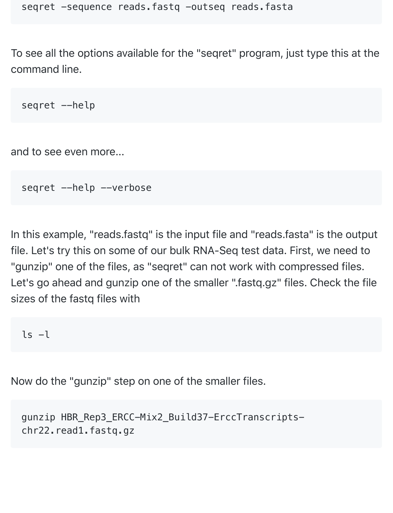To see all the options available for the "seqret" program, just type this at the command line.

seqret --help

and to see even more...

seqret --help --verbose

In this example, "reads.fastq" is the input file and "reads.fasta" is the output file. Let's try this on some of our bulk RNA-Seq test data. First, we need to "gunzip" one of the files, as "seqret" can not work with compressed files. Let's go ahead and gunzip one of the smaller ".fastq.gz" files. Check the file sizes of the fastq files with

```
ls -l
```
Now do the "gunzip" step on one of the smaller files.

```
gunzip HBR_Rep3_ERCC-Mix2_Build37-ErccTranscripts-
chr22.read1.fastq.gz
```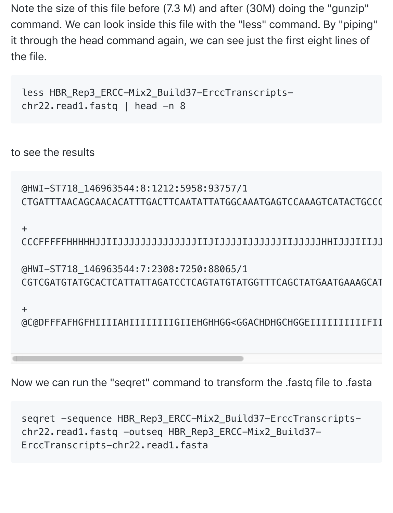Note the size of this file before (7.3 M) and after (30M) doing the "gunzip" command. We can look inside this file with the "less" command. By "piping" it through the head command again, we can see just the first eight lines of the file.

less HBR\_Rep3\_ERCC-Mix2\_Build37-ErccTranscriptschr22.read1.fastq | head -n 8

to see the results

```
@HWI-ST718_146963544:8:1212:5958:93757/1
CTGATTTAACAGCAACACATTTGACTTCAATATTATGGCAAATGAGTCCAAAGTCATACTGCCC
```
+

CCCFFFFFHHHHHJJIIJJJJJJJJJJJJJJIIJIJJJJIJJJJJJIIJJJJJHHIJJJIIIJJJJJJJJGHJHHHEHFFFFFFEFDEEFECFEDDDDDD

@HWI-ST718\_146963544:7:2308:7250:88065/1 CGTCGATGTATGCACTCATTATTAGATCCTCAGTATGTATGGTTTCAGCTATGAATGAAAGCATTGCCTCCTTTCTTGTTGACCTGAGTTTACTAAGTAA

+

@C@DFFFAFHGFHIIIIAHIIIIIIIIIGIIEHGHHGG<GGACHDHGCHGGEIIIIIIIIIIFII

Now we can run the "seqret" command to transform the .fastq file to .fasta

seqret -sequence HBR\_Rep3\_ERCC-Mix2\_Build37-ErccTranscriptschr22.read1.fastq -outseq HBR Rep3 ERCC-Mix2 Build37-ErccTranscripts-chr22.read1.fasta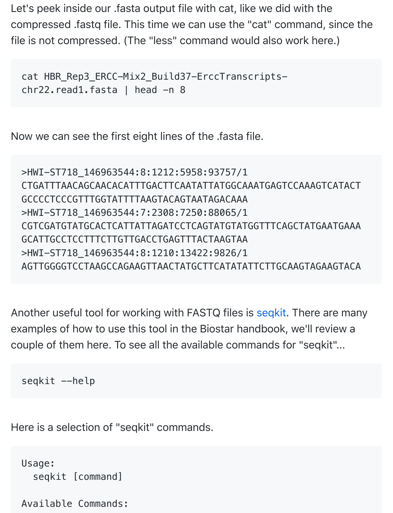Let's peek inside our .fasta output file with cat, like we did with the compressed .fastq file. This time we can use the "cat" command, since the file is not compressed. (The "less" command would also work here.)

cat HBR\_Rep3\_ERCC-Mix2\_Build37-ErccTranscripts $chr22.read1.fasta | head -n 8$ 

Now we can see the first eight lines of the .fasta file.

>HWI-ST718\_146963544:8:1212:5958:93757/1 CTGATTTAACAGCAACACATTTGACTTCAATATTATGGCAAATGAGTCCAAAGTCATACT GCCCCTCCCGTTTGGTATTTTAAGTACAGTAATAGACAAA >HWI-ST718\_146963544:7:2308:7250:88065/1 CGTCGATGTATGCACTCATTATTAGATCCTCAGTATGTATGGTTTCAGCTATGAATGAAA GCATTGCCTCCTTTCTTGTTGACCTGAGTTTACTAAGTAA >HWI-ST718\_146963544:8:1210:13422:9826/1 AGTTGGGGTCCTAAGCCAGAAGTTAACTATGCTTCATATATTCTTGCAAGTAGAAGTACA

Another useful tool for working with FASTQ files is seqkit. There are many examples of how to use this tool in the Biostar handbook, we'll review a couple of them here. To see all the available commands for "seqkit"...

seqkit --help

Here is a selection of "seqkit" commands.

```
Usage:
   seqkit [command]
```

```
Available Commands:
```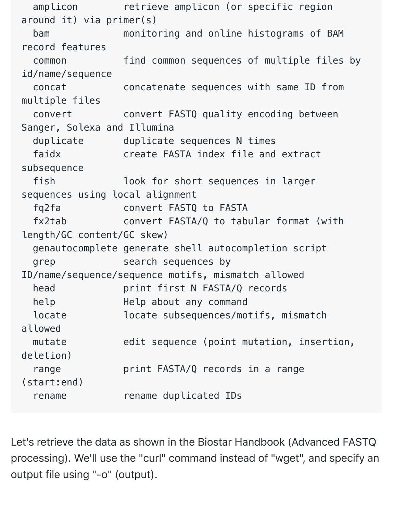amplicon retrieve amplicon (or specific region around it) via primer(s) bam monitoring and online histograms of BAM record features common find common sequences of multiple files by id/name/sequence concat concatenate sequences with same ID from multiple files convert convert FASTQ quality encoding between Sanger, Solexa and Illumina duplicate duplicate sequences N times faidx create FASTA index file and extract subsequence fish look for short sequences in larger sequences using local alignment fq2fa convert FASTQ to FASTA fx2tab convert FASTA/Q to tabular format (with length/GC content/GC skew) genautocomplete generate shell autocompletion script grep search sequences by ID/name/sequence/sequence motifs, mismatch allowed head **print first N FASTA/Q records** help Help about any command locate locate subsequences/motifs, mismatch allowed mutate edit sequence (point mutation, insertion, deletion) range **print FASTA/Q records** in a range (start:end) rename rename duplicated IDs

Let's retrieve the data as shown in the Biostar Handbook (Advanced FASTQ processing). We'll use the "curl" command instead of "wget", and specify an output file using "-o" (output).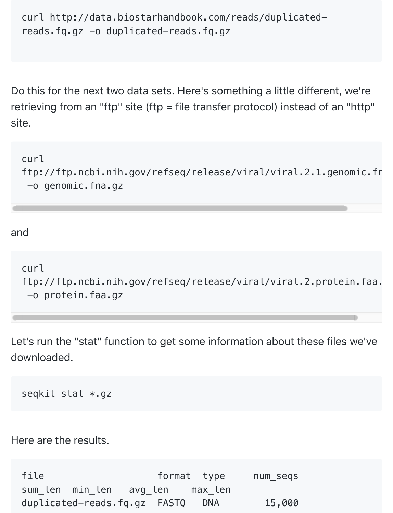```
curl http://data.biostarhandbook.com/reads/duplicated-
reads.fq.gz -o duplicated-reads.fq.gz
```
Do this for the next two data sets. Here's something a little different, we're retrieving from an "ftp" site (ftp = file transfer protocol) instead of an "http" site.

curl ftp://ftp.ncbi.nih.gov/refseq/release/viral/viral.2.1.genomic.fn -o genomic.fna.gz

and

```
curl
ftp://ftp.ncbi.nih.gov/refseq/release/viral/viral.2.protein.faa.
 -o protein.faa.gz
```
Let's run the "stat" function to get some information about these files we've downloaded.

seqkit stat \*.gz

Here are the results.

file **format** type num seqs sum\_len min\_len avg\_len max\_len duplicated-reads.fq.gz FASTQ DNA 15,000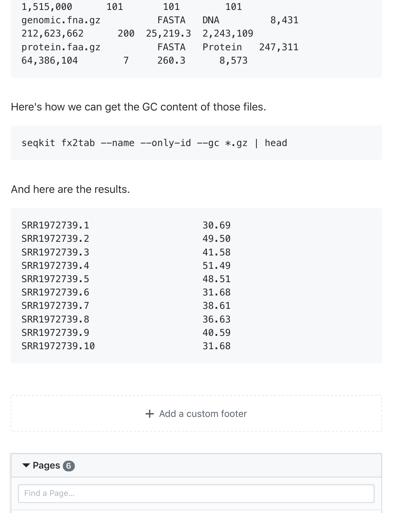| 1,515,000      | 101        | 101          | 101                       |       |
|----------------|------------|--------------|---------------------------|-------|
| genomic.fna.gz |            | <b>FASTA</b> | <b>DNA</b>                | 8,431 |
| 212,623,662    |            |              | 200 25, 219.3 2, 243, 109 |       |
| protein.faa.gz |            | FASTA        | Protein 247,311           |       |
| 64,386,104     | $\sqrt{ }$ | 260.3        | 8,573                     |       |

Here's how we can get the GC content of those files.

seqkit fx2tab --name --only-id --gc \*.gz | head

And here are the results.

| SRR1972739.1  | 30.69 |
|---------------|-------|
| SRR1972739.2  | 49.50 |
| SRR1972739.3  | 41.58 |
| SRR1972739.4  | 51.49 |
| SRR1972739.5  | 48.51 |
| SRR1972739.6  | 31.68 |
| SRR1972739.7  | 38.61 |
| SRR1972739.8  | 36.63 |
| SRR1972739.9  | 40.59 |
| SRR1972739.10 | 31.68 |
|               |       |

## $+$  [Add a custom footer](https://github.com/AmyStonelake/BTEP/wiki/_new?wiki%5Bname%5D=_Footer)

Find a Page…

<span id="page-6-0"></span>**Pages 6**